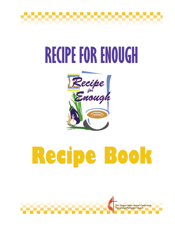

# **RECIPE FOR ENOUGH**



# **Recipe Book Recipe Book**

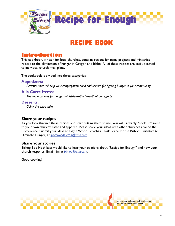

# **RECIPE BOOK**

## **Introduction**

This cookbook, written for local churches, contains recipes for many projects and ministries related to the elimination of hunger in Oregon and Idaho. All of these recipes are easily adapted to individual church meal plans.

The cookbook is divided into three categories:

### **Appetizers:**

*Activities that will help your congregation build enthusiasm for fighting hunger in your community.* 

### **A la Carte Items:**

*The main courses for hunger ministries—the "meat" of our efforts.* 

### **Desserts:**

*Going the extra mile.* 

### **Share your recipes**

As you look through these recipes and start putting them to use, you will probably "cook up" some to your own church's taste and appetite. Please share your ideas with other churches around the Conference. Submit your ideas to Gayle Woods, co-chair, Task Force for the Bishop's Initiative to Eliminate Hunger, at *[gaylewoods5964@msn.com](mailto:gaylewoods5964@msn.com)*.

### **Share your stories**

Bishop Bob Hoshibata would like to hear your opinions about "Recipe for Enough" and how your church responds. Email him at *[bishop@umoi.org](mailto:bishop@umoi.org)*.

Good cooking!

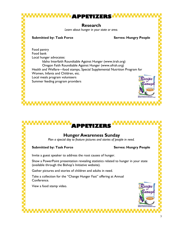

# **APPETIZERS Hunger Awareness Sunday**  *Plan a special day to feature pictures and stories of people in need.*

**Submitted by: Task Force Submitted by: Task Force Serves: Hungry People** 

Summer feeding program providers

Invite a guest speaker to address the root causes of hunger.

Show a PowerPoint presentation revealing statistics related to hunger in your state (available through the Bishop's Initiative website).

Gather pictures and stories of children and adults in need.

Take a collection for the "Change Hunger Fast" offering at Annual Conference.

View a food stamp video.

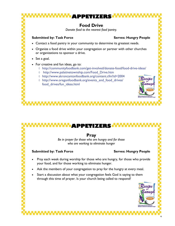**APPETIZERS Food Drive**  *Donate food to the nearest food pantry.*  **Submitted by: Task Force Submitted by: Task Force Serves: Hungry People** • Contact a food pantry in your community to determine its greatest needs. • Organize a food drive within your congregation or partner with other churches or organizations to sponsor a drive. Set a goal. • For creative and fun ideas, go to: ◊ http://communityfoodbank.com/get-involved/donate-food/food-drive-ideas/ ◊ http://www.palatinetownship.com/Food\_Drive.htm ◊ http://www.akroncantonfoodbank.org/content.cfm?id=2004

◊ http://www.oregonfoodbank.org/events\_and\_food\_drives/ food\_drives/fun\_ideas.html

## **APPETIZE**

### **Pray**

*Be in prayer for those who are hungry and for those who are working to eliminate hunger* 

#### **Submitted by: Task Force Submitted by: Task Force Serves: Hungry People**

- Pray each week during worship for those who are hungry, for those who provide your food, and for those working to eliminate hunger.
- Ask the members of your congregation to pray for the hungry at every meal.
- Start a discussion about what your congregation feels God is saying to them through this time of prayer. Is your church being called to respond?



4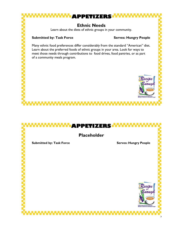



 $\mathbf{c}$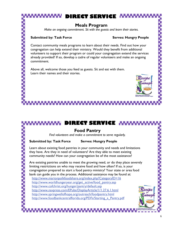## **Meals Program**

*Make an ongoing commitment. Sit with the guests and learn their stories.* 

#### **Submitted by: Task Force Submitted by: Task Force Serves: Hungry People**

Contact community meals programs to learn about their needs. Find out how your congregation can help extend their ministry. Would they benefit from additional volunteers to support their program or could your congregation extend the services already provided? If so, develop a cadre of regular volunteers and make an ongoing commitment.

Above all, welcome those you feed as guests. Sit and eat with them. Learn their names and their stories.

## **DIRECT SERVICE**

## **Food Pantry**

*Find volunteers and make a commitment to serve regularly.*

#### **Submitted by: Task Force Serves: Hungry People**

Learn about existing food pantries in your community and needs and limitations they have. Are they in need of volunteers? Are they able to meet existing community needs? How can your congregation be of the most assistance?

Are existing pantries unable to meet the growing need, or do they place severely limiting restrictions on who may receive food and how often? If so, is your congregation prepared to start a food pantry ministry? Your state or area food bank can guide you in the process. Additional assistance may be found at:

<http://www.marionpolkfoodshare.org/index.php?CategoryID=16> [http://www.worldhungeryear.org/get\\_active/food\\_pantry.asp](http://www.worldhungeryear.org/get_active/food_pantry.asp) <http://www.cofchrist.org/hunger/pantry/default.asp> <http://www.navpress.com/EPubs/DisplayArticle/1/1.27.6.1.html> <http://www.springwellofhope.org/outreach/foodpantry.html> [http://www.foodbankcentralflorida.org/PDFs/Starting\\_a\\_Pantry.pdf](http://www.foodbankcentralflorida.org/PDFs/Starting_a_Pantry.pdf)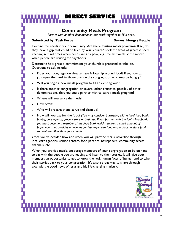## **Community Meals Program**

IRE**CT** SERVIC

*Partner with another denomination and work together to fill a need.*

#### **Submitted by: Task Force Serves: Hungry People**

Examine the needs in your community. Are there existing meals programs? If so, do they leave a gap that could be filled by your church? Look for areas of greatest need, keeping in mind times when needs are at a peak; e.g., the last week of the month when people are waiting for paychecks.

Determine how great a commitment your church is prepared to take on. Questions to ask include:

- Does your congregation already have fellowship around food? If so, how can you open the meal to those outside the congregation who may be hungry?
- Will you begin a new meals program to fill an existing void?
- Is there another congregation or several other churches, possibly of other denominations, that you could partner with to start a meals program?
- Where will you serve the meals?
- How often?
- Who will prepare them, serve and clean up?
- How will you pay for the food? *(You may consider partnering with a local food bank, pantry, care agency, grocery store or business. If you partner with the Idaho Foodbank, you must become a member of the food bank which requires a small amount of paperwork, but provides an avenue for less expensive food and a place to store food somewhere other than your church.)*

Once you've decided how and when you will provide meals, advertise through local care agencies, senior centers, food pantries, newspapers, community access channels, etc.

When you provide meals, encourage members of your congregation to be on hand to eat with the people you are feeding and listen to their stories. It will give your members an opportunity to get to know the real, human faces of hunger and to take their stories back to your congregation. It's also a great way to share through example the good news of Jesus and his life-changing ministry.

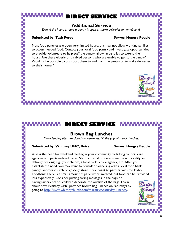# RE<del>CT SERV</del>I

## **Additional Service**

*Extend the hours or days a pantry is open or make deliveries to homebound.* 

#### **Submitted by: Task Force Submitted by: Task Force Serves: Hungry People**

Most food pantries are open very limited hours; this may not allow working families to access needed food. Contact your local food pantry and investigate opportunities to provide volunteers to help staff the pantry, allowing pantries to extend their hours. Are there elderly or disabled persons who are unable to get to the pantry? Would it be possible to transport them to and from the pantry or to make deliveries to their homes?



## **DIRECT SERVICE**

## **Brown Bag Lunches**

*Many feeding sites are closed on weekends. Fill the gap with sack lunches.* 

#### **Submitted by: Whitney UMC, Boise <b>Serves: Hungry People**

Assess the need for weekend feeding in your community by talking to local care agencies and pantries/food banks. Start out small to determine the workability and delivery options; e.g., your church, a local park, a care agency, etc. After you establish the need, you may want to consider partnering with a local food bank, pantry, another church or grocery store. If you want to partner with the Idaho Foodbank, there is a small amount of paperwork involved, but food can be provided less expensively. Consider putting caring messages in the bags or having Sunday school children decorate the outside of the bags. Learn about how Whitney UMC provides brown bag lunches on Saturdays by going to [http://www.whitneychurch.com/ministries/saturday lunches/](http://www.whitneychurch.com/ministries/saturday%20lunches/).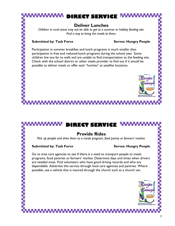## **Deliver Lunches**

*Children in rural areas may not be able to get to a summer or holiday feeding site. Find a way to bring the meals to them.* 

#### **Submitted by: Task Force Serves: Hungry People**

Participation in summer breakfast and lunch programs is much smaller than participation in free and reduced-lunch programs during the school year. Some children live too far to walk and are unable to find transportation to the feeding site. Check with the school district or other meals provider to find out if it would be possible to deliver meals or offer sack "lunches" at satellite locations.

## **DIRECT SERVICE**

## **Provide Rides**

*Pick up people and drive them to a meals program, food pantry or farmers' market.* 

#### **Submitted by: Task Force Submitted by: Task Force Serves: Hungry People**

Go to area care agencies to see if there is a need to transport people to meals programs, food pantries or farmers' market. Determine days and times when drivers are needed most. Find volunteers who have good driving records and who are dependable. Advertise this service through local care agencies and pantries. Where possible, use a vehicle that is insured through the church such as a church van.

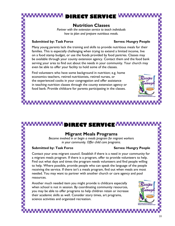## **Nutrition Classes**

*Partner with the extension service to teach individuals how to plan and prepare nutritious meals.* 

#### **Submitted by: Task Force Serves: Hungry People**

Many young parents lack the training and skills to provide nutritious meals for their families. This is especially challenging when trying to extend a limited income, live on a food stamp budget, or use the foods provided by food pantries. Classes may be available through your county extension agency. Contact them and the food bank serving your area to find out about the needs in your community. Your church may even be able to offer your facility to hold some of the classes.

Find volunteers who have some background in nutrition; e.g. home economics teachers, retired nutritionists, retired nurses, or the experienced cooks in your congregation and offer assistance in teaching nutrition classes through the county extension agency or food bank. Provide childcare for parents participating in the classes.

# **DIRECT SERVICE**

## **Migrant Meals Programs**

*Become involved in or begin a meals program for migrant workers in your community. Offer child care programs.*

#### **Submitted by: Task Force Submitted by: Task Force Serves: Hungry People**

Contact your area migrant council. Establish if there is a need in your community for a migrant meals program. If there is a program, offer to provide volunteers to help. Find out what days and times the program needs volunteers and find people willing to help. Where possible, provide people who can speak the language of the people receiving the service. If there isn't a meals program, find out when meals are most needed. You may want to partner with another church or care agency and pool resources.

Another much needed item you might provide is childcare especially when school is not in session. By coordinating community resources, you may be able to offer programs to help children retain or increase their academic skills as well. Consider story times, art programs, science activities and organized recreation.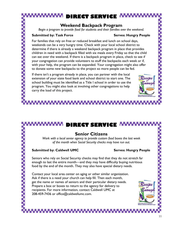## **Weekend Backpack Program**

*Begin a program to provide food for students and their families over the weekend.*

#### **Submitted by: Task Force Submitted by: Task Force Serves: Hungry People**

For families that rely on free or reduced breakfast and lunch on school days, weekends can be a very hungry time. Check with your local school district to determine if there is already a weekend backpack program in place that provides children in need with a backpack filled with six meals every Friday so that the child can eat over the weekend. If there is a backpack program in place, check to see if your congregation can provide volunteers to stuff the backpacks each week or if, with your help, the program can be expanded. Your congregation might also offer to donate some new backpacks to the project so more people can be fed.

If there isn't a program already in place, you can partner with the local extension of your state food bank and school district to start one. The school building must be identified as a Title I school in order to use the program. You might also look at involving other congregations to help carry the load of this project.

# **DIRECT SERVICE**

## **Senior Citizens**

*Work with a local senior agency to provide custom food boxes the last week of the month when Social Security checks may have run out.* 

### **Submitted by: Caldwell UMC** Serves: Hungry People

Seniors who rely on Social Security checks may find that they do not stretch far enough to last the entire month—and they may have difficulty buying nutritious food by the end of the month. They may also have special dietary needs.

Contact your local area center on aging or other similar organization. Ask if there is a need your church can help fill. Then each month, get the name or names of seniors and their particular dietary needs. Prepare a box or boxes to return to the agency for delivery to recipients. For more information, contact Caldwell UMC at 208-459-7436 or office@caldwellumc.com.

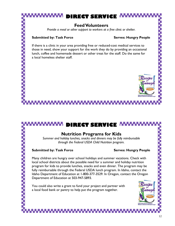## **Feed Volunteers**

*Provide a meal or other support to workers at a free clinic or shelter.* 

#### **Submitted by: Task Force Submitted by: Task Force Serves: Hungry People**

If there is a clinic in your area providing free or reduced-cost medical services to those in need, show your support for the work they do by providing an occasional lunch, coffee and homemade dessert or other treat for the staff. Do the same for a local homeless shelter staff.

# **IRECT SERVICE**

## **Nutrition Programs for Kids**

*Summer and holiday lunches, snacks and dinners may be fully reimbursable through the Federal USDA Child Nutrition program.* 

#### **Submitted by: Task Force Submitted by: Task Force Serves: Hungry People**

Many children are hungry over school holidays and summer vacations. Check with local school districts about the possible need for a summer and holiday nutrition program for kids to provide lunches, snacks and even dinner. The program may be fully reimbursable through the Federal USDA lunch program. In Idaho, contact the Idaho Department of Education at 1-800-377-3529. In Oregon, contact the Oregon Department of Education at 503-947-5893.

You could also write a grant to fund your project and partner with a local food bank or pantry to help put the program together.

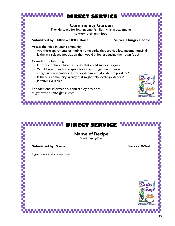# RE<del>CT</del> SERV **Community Garden**  Provide space for low-income families living in apartments to grow their own food.

#### Submitted by: Hillview UMC, Boise **Serves: Hungry People**

Assess the need in your community:

- Are there apartments or mobile home parks that provide low-income housing?
- Is there a refugee population that would enjoy producing their own food?

Consider the following:

- Does your church have property that could support a garden?
- Would you provide the space for others to garden, or would congregation members do the gardening and donate the produce?
- Is there a community agency that might help locate gardeners?
- Is water available?

For additional information, contact Gayle Woods at gaylewoods5964@msn.com.

# **IRECT SERVICE Name of Recipe**  *Short description.*  **Submitted by: Name Submitted by: Name Serves: Who?** Ingredients and instructions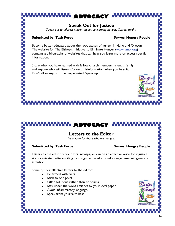# **ADVOCACY Speak Out for Justice**  *Speak out to address current issues concerning hunger. Correct myths.*  **Submitted by: Task Force Submitted by: Task Force Serves: Hungry People**

Become better educated about the root causes of hunger in Idaho and Oregon. The website for The Bishop's Initiative to Eliminate Hunger ([www.umoi.org\)](http://www.umoi.org) contains a bibliography of websites that can help you learn more or access specific information.

Share what you have learned with fellow church members, friends, family and anyone who will listen. Correct misinformation when you hear it. Don't allow myths to be perpetuated. Speak up.

# **ADVOCACY**

## **Letters to the Editor**

*Be a voice for those who are hungry.* 

#### **Submitted by: Task Force Submitted by: Task Force Serves: Hungry People**

Letters to the editor of your local newspaper can be an effective voice for injustice. A concentrated letter-writing campaign centered around a single issue will generate attention.

Some tips for effective letters to the editor:

- Be armed with facts.
- Stick to one point.
- Offer solutions rather than criticisms.
- Stay under the word limit set by your local paper.
- Avoid inflammatory language.
- Speak from your faith base.

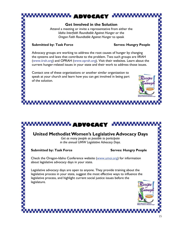# **ADVOCACY**

#### **Get Involved in the Solution**

Attend a meeting or invite a representative from either the *Idaho Interfaith Roundtable Against Hunger* or the *Oregon Faith Roundtable Against Hunger* to speak

#### **Submitted by: Task Force Submitted by: Task Force Serves: Hungry People**

Advocacy groups are working to address the root causes of hunger by changing the systems and laws that contribute to the problem. Two such groups are IIRAH (www.iirah.org) and OPRAH (www.oprah.org). Visit their websites. Learn about the current hunger-related issues in your state and their work to address those issues.

Contact one of these organizations or another similar organization to speak at your church and learn how you can get involved in being part of the solution.



**ADVOCACY**

## **United Methodist Women's Legislative Advocacy Days**

*Get as many people as possible to participate in the annual UMW Legislative Advocacy Days.* 

### **Submitted by: Task Force Submitted by: Task Force Serves: Hungry People**

Check the Oregon-Idaho Conference website [\(www.umoi.org](http://www.umoi.org)) for information about legislative advocacy days in your state.

Legislative advocacy days are open to anyone. They provide training about the legislative process in your state, suggest the most effective ways to influence the legislative process, and highlight current social justice issues before the legislature.

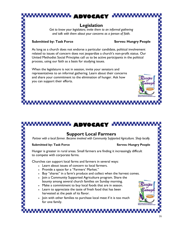# **ADVOCACY**

## **Legislation**

*Get to know your legislators; invite them to an informal gathering and talk with them about your concerns as a person of faith.* 

#### **Submitted by: Task Force Serves: Hungry People**

As long as a church does not endorse a particular candidate, political involvement related to issues of concern does not jeopardize a church's non-profit status. Our United Methodist Social Principles call us to be active participants in the political process, using our faith as a basis for studying issues.

When the legislature is not in session, invite your senators and representatives to an informal gathering. Learn about their concerns and share your commitment to the elimination of hunger. Ask how you can support their efforts.

**ADVOCACY**

## **Support Local Farmers**

*Partner with a local farmer. Become involved with Community Supported Agriculture. Shop locally.* 

#### **Submitted by: Task Force Serves: Hungry People Serves: Hungry People**

Hunger is greater in rural areas. Small farmers are finding it increasingly difficult to compete with corporate farms.

Churches can support local farms and farmers in several ways:

- Learn about issues of concern to local farmers.
- Provide a space for a "Farmers' Market."
- Buy "shares" in a farm's produce and collect when the harvest comes.
- Join a Community Supported Agriculture program. Share the bounty among several church families on Sunday morning.
- Make a commitment to buy local foods that are in season.
- Learn to appreciate the taste of fresh food that has been harvested at the peak of its flavor.
- Join with other families to purchase local meat if it is too much for one family.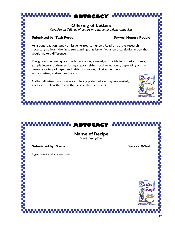

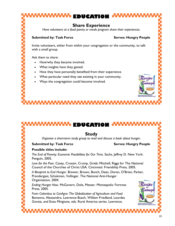# **EDUCATION Share Experience**  *Have volunteers at a food pantry or meals program share their experiences.*  **Submitted by: Task Force Submitted by: Task Force Serves: Hungry People** Invite volunteers, either from within your congregation or the community, to talk with a small group. Ask them to share: • How/why they became involved. • What insights have they gained. • How they have personally benefited from their experience.

- What particular need they see existing in your community.
- Ways the congregation could become involved.

**EDUCATIO** 

## **Study**

*Organize a short-term study group to read and discuss a book about hunger.*

## **Submitted by: Task Force Submitted by: Task Force Serves: Hungry People**

## **Possible titles include:**

*The End of Poverty: Economic Possibilities for Our Time*. Sachs, Jeffrey D. New York: Penguin, 2005.

*Love for the Poor.* Casey, Crossin, Crump, Grieb; Mitchell, Riggs for The National Council of the Churches of Christ USA*.* Cincinnati: Friendship Press, 2005.

*A Blueprint to End Hunger*. Brewer, Brown, Bunch, Dean, Doran, O'Brien, Parker, Prendergast, Schokman, Vollinger. The National Anti-Hunger Organization, 2004.

*Ending Hunger Now*. McGovern, Dole, Messer. Minneapolis: Fortress Press, 2005.

*From Colombus to ConAgra: The Globalization of Agriculture and Food.*  Bonanno, Alessandro, Lawrence Busch, William Friedland, Lourdes Goveia, and Enzo Mingione, eds. Rural America series. Lawrence.

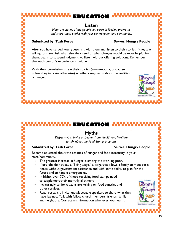# **EDUCATION**

## **Listen**

*Hear the stories of the people you serve in feeding programs and share those stories with your congregation and community.* 

#### **Submitted by: Task Force Submitted by: Task Force Serves: Hungry People**

After you have served your guests, sit with them and listen to their stories if they are willing to share. Ask what else they need or what changes would be most helpful for them. Learn to suspend judgment, to listen without offering solutions. Remember that each person's experience is unique.

With their permission, share their stories (anonymously, of course, unless they indicate otherwise) so others may learn about the realities of hunger.

## **EDUCATION**

## **Myths**

*Dispel myths. Invite a speaker from Health and Welfare to talk about the Food Stamp program.*

#### **Submitted by: Task Force Submitted by: Task Force Serves: Hungry People**

Become educated about the realities of hunger and food insecurity in your state/community.

- The greatest increase in hunger is among the working poor.
- Most jobs do not pay a "living wage," a wage that allows a family to meet basic needs without government assistance and with some ability to plan for the future and to handle emergencies.
- In Idaho, over 70% of those receiving food stamps need to supplement their monthly allotment.
- Increasingly senior citizens are relying on food pantries and other services.
- Read, research, invite knowledgeable speakers to share what they have learned. Talk with fellow church members, friends, family and neighbors. Correct misinformation whenever you hear it.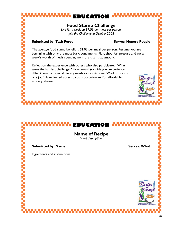**EDUCATIO Name of Recipe**  *Short description.*  **Submitted by: Name Serves: Who?** Serves: Who? Ingredients and instructions

**Food Stamp Challenge** 

**EDUCATION**

*Live for a week on \$1.03 per meal per person. Join the Challenge in October 2008* 

#### **Submitted by: Task Force Submitted by: Task Force Serves: Hungry People**

The average food stamp benefit is \$1.03 per meal per person. Assume you are beginning with only the most basic condiments. Plan, shop for, prepare and eat a week's worth of meals spending no more than that amount.

Reflect on the experience with others who also participated. What were the hardest challenges? How would (or did) your experience differ if you had special dietary needs or restrictions? Work more than one job? Have limited access to transportation and/or affordable grocery stores?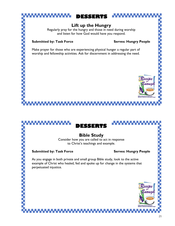# $L \times L$

## **Lift up the Hungry**

Regularly pray for the hungry and those in need during worship and listen for how God would have you respond.

#### Submitted by: Task Force **Submitted by: Task Force** Serves: Hungry People

Make prayer for those who are experiencing physical hunger a regular part of worship and fellowship activities. Ask for discernment in addressing the need.





## **Bible Study**

Consider how you are called to act in response to Christ's teachings and example.

### **Submitted by: Task Force Submitted by: Task Force Serves: Hungry People**

As you engage in both private and small group Bible study, look to the active example of Christ who healed, fed and spoke up for change in the systems that perpetuated injustice.